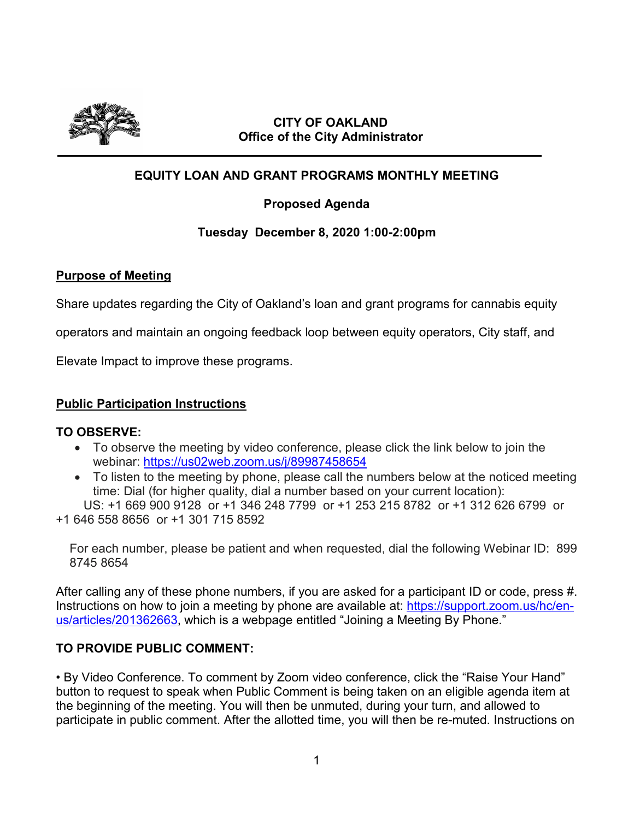

### **CITY OF OAKLAND Office of the City Administrator**

# **EQUITY LOAN AND GRANT PROGRAMS MONTHLY MEETING**

## **Proposed Agenda**

### **Tuesday December 8, 2020 1:00-2:00pm**

### **Purpose of Meeting**

Share updates regarding the City of Oakland's loan and grant programs for cannabis equity

operators and maintain an ongoing feedback loop between equity operators, City staff, and

Elevate Impact to improve these programs.

### **Public Participation Instructions**

### **TO OBSERVE:**

- To observe the meeting by video conference, please click the link below to join the webinar: https://us02web.zoom.us/j/89987458654
- To listen to the meeting by phone, please call the numbers below at the noticed meeting time: Dial (for higher quality, dial a number based on your current location):

 US: +1 669 900 9128 or +1 346 248 7799 or +1 253 215 8782 or +1 312 626 6799 or +1 646 558 8656 or +1 301 715 8592

For each number, please be patient and when requested, dial the following Webinar ID: 899 8745 8654

After calling any of these phone numbers, if you are asked for a participant ID or code, press #. Instructions on how to join a meeting by phone are available at: [https://support.zoom.us/hc/en](https://support.zoom.us/hc/en-us/articles/201362663)[us/articles/201362663,](https://support.zoom.us/hc/en-us/articles/201362663) which is a webpage entitled "Joining a Meeting By Phone."

### **TO PROVIDE PUBLIC COMMENT:**

• By Video Conference. To comment by Zoom video conference, click the "Raise Your Hand" button to request to speak when Public Comment is being taken on an eligible agenda item at the beginning of the meeting. You will then be unmuted, during your turn, and allowed to participate in public comment. After the allotted time, you will then be re-muted. Instructions on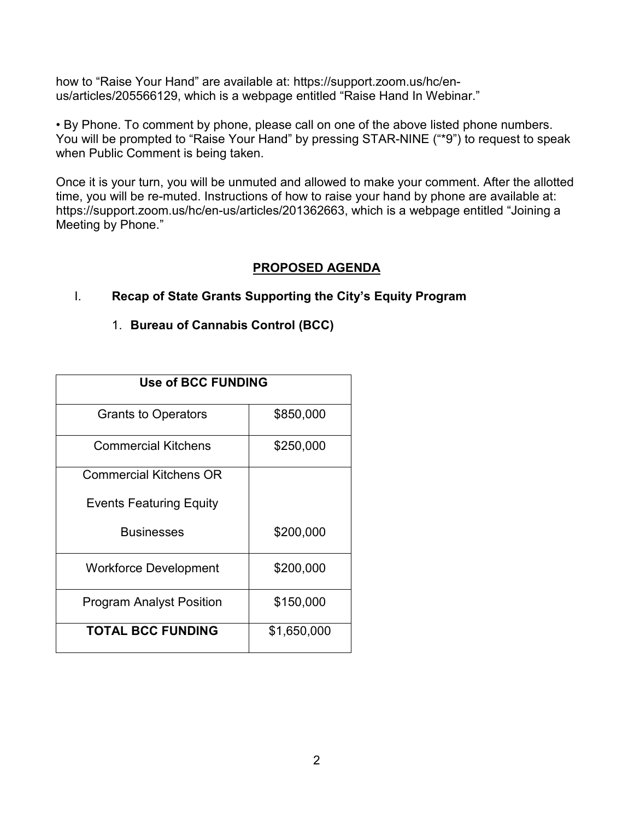how to "Raise Your Hand" are available at: https://support.zoom.us/hc/enus/articles/205566129, which is a webpage entitled "Raise Hand In Webinar."

• By Phone. To comment by phone, please call on one of the above listed phone numbers. You will be prompted to "Raise Your Hand" by pressing STAR-NINE ("\*9") to request to speak when Public Comment is being taken.

Once it is your turn, you will be unmuted and allowed to make your comment. After the allotted time, you will be re-muted. Instructions of how to raise your hand by phone are available at: https://support.zoom.us/hc/en-us/articles/201362663, which is a webpage entitled "Joining a Meeting by Phone."

### **PROPOSED AGENDA**

## I. **Recap of State Grants Supporting the City's Equity Program**

### 1. **Bureau of Cannabis Control (BCC)**

| <b>Use of BCC FUNDING</b>       |             |  |  |
|---------------------------------|-------------|--|--|
| <b>Grants to Operators</b>      | \$850,000   |  |  |
| <b>Commercial Kitchens</b>      | \$250,000   |  |  |
| <b>Commercial Kitchens OR</b>   |             |  |  |
| <b>Events Featuring Equity</b>  |             |  |  |
| <b>Businesses</b>               | \$200,000   |  |  |
| Workforce Development           | \$200,000   |  |  |
| <b>Program Analyst Position</b> | \$150,000   |  |  |
| <b>TOTAL BCC FUNDING</b>        | \$1,650,000 |  |  |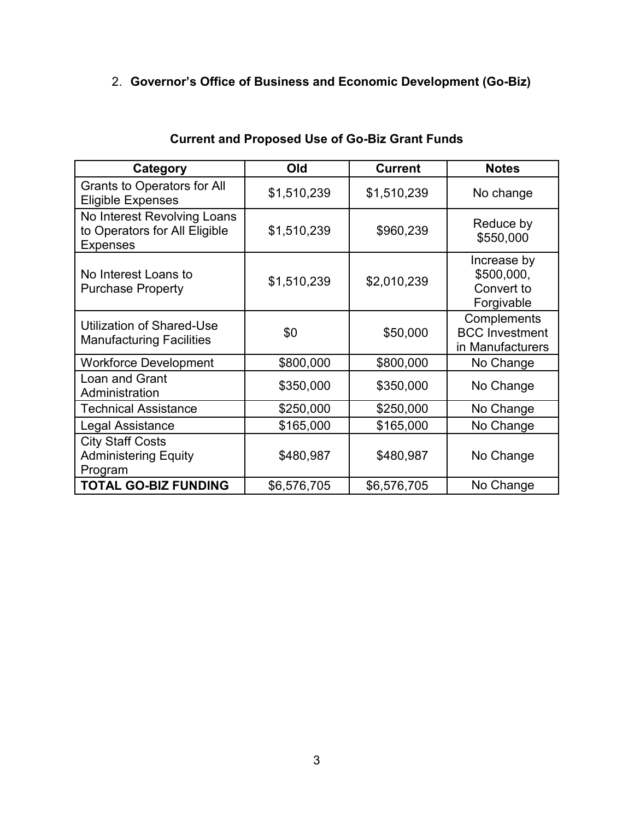# 2. **Governor's Office of Business and Economic Development (Go-Biz)**

| Category                                                                        | Old         | <b>Current</b> | <b>Notes</b>                                             |
|---------------------------------------------------------------------------------|-------------|----------------|----------------------------------------------------------|
| <b>Grants to Operators for All</b><br><b>Eligible Expenses</b>                  | \$1,510,239 | \$1,510,239    | No change                                                |
| No Interest Revolving Loans<br>to Operators for All Eligible<br><b>Expenses</b> | \$1,510,239 | \$960,239      | Reduce by<br>\$550,000                                   |
| No Interest Loans to<br><b>Purchase Property</b>                                | \$1,510,239 | \$2,010,239    | Increase by<br>\$500,000,<br>Convert to<br>Forgivable    |
| Utilization of Shared-Use<br><b>Manufacturing Facilities</b>                    | \$0         | \$50,000       | Complements<br><b>BCC</b> Investment<br>in Manufacturers |
| <b>Workforce Development</b>                                                    | \$800,000   | \$800,000      | No Change                                                |
| Loan and Grant<br>Administration                                                | \$350,000   | \$350,000      | No Change                                                |
| <b>Technical Assistance</b>                                                     | \$250,000   | \$250,000      | No Change                                                |
| Legal Assistance                                                                | \$165,000   | \$165,000      | No Change                                                |
| <b>City Staff Costs</b><br><b>Administering Equity</b><br>Program               | \$480,987   | \$480,987      | No Change                                                |
| <b>TOTAL GO-BIZ FUNDING</b>                                                     | \$6,576,705 | \$6,576,705    | No Change                                                |

# **Current and Proposed Use of Go-Biz Grant Funds**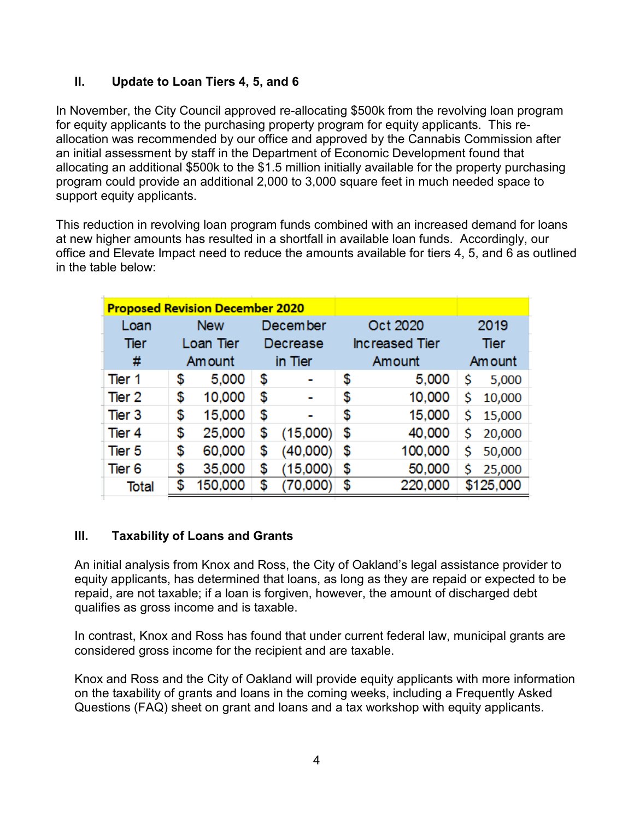## **II. Update to Loan Tiers 4, 5, and 6**

In November, the City Council approved re-allocating \$500k from the revolving loan program for equity applicants to the purchasing property program for equity applicants. This reallocation was recommended by our office and approved by the Cannabis Commission after an initial assessment by staff in the Department of Economic Development found that allocating an additional \$500k to the \$1.5 million initially available for the property purchasing program could provide an additional 2,000 to 3,000 square feet in much needed space to support equity applicants.

This reduction in revolving loan program funds combined with an increased demand for loans at new higher amounts has resulted in a shortfall in available loan funds. Accordingly, our office and Elevate Impact need to reduce the amounts available for tiers 4, 5, and 6 as outlined in the table below:

| <b>Proposed Revision December 2020</b> |    |            |          |                 |                       |    |           |  |
|----------------------------------------|----|------------|----------|-----------------|-----------------------|----|-----------|--|
| Loan                                   |    | <b>New</b> |          | <b>December</b> | Oct 2020              |    | 2019      |  |
| Tier                                   |    | Loan Tier  | Decrease |                 | <b>Increased Tier</b> |    | Tier      |  |
| #                                      |    | Am ount    |          | in Tier         | Amount                |    | Am ount   |  |
| Tier 1                                 | \$ | 5,000      | \$       | ۰               | \$<br>5,000           | \$ | 5,000     |  |
| Tier 2                                 | \$ | 10,000     | \$       |                 | \$<br>10,000          | \$ | 10,000    |  |
| Tier 3                                 | \$ | 15,000     | \$       |                 | \$<br>15,000          | Ś  | 15,000    |  |
| Tier 4                                 | \$ | 25,000     | \$       | (15,000)        | \$<br>40,000          | \$ | 20,000    |  |
| Tier 5                                 | \$ | 60,000     | \$       | (40,000)        | \$<br>100,000         | \$ | 50,000    |  |
| Tier <sub>6</sub>                      | \$ | 35,000     | \$       | (15,000)        | \$<br>50,000          | Ś  | 25,000    |  |
| Total                                  | \$ | 150,000    | \$       | (70,000)        | \$<br>220,000         |    | \$125,000 |  |

# **III. Taxability of Loans and Grants**

An initial analysis from Knox and Ross, the City of Oakland's legal assistance provider to equity applicants, has determined that loans, as long as they are repaid or expected to be repaid, are not taxable; if a loan is forgiven, however, the amount of discharged debt qualifies as gross income and is taxable.

In contrast, Knox and Ross has found that under current federal law, municipal grants are considered gross income for the recipient and are taxable.

Knox and Ross and the City of Oakland will provide equity applicants with more information on the taxability of grants and loans in the coming weeks, including a Frequently Asked Questions (FAQ) sheet on grant and loans and a tax workshop with equity applicants.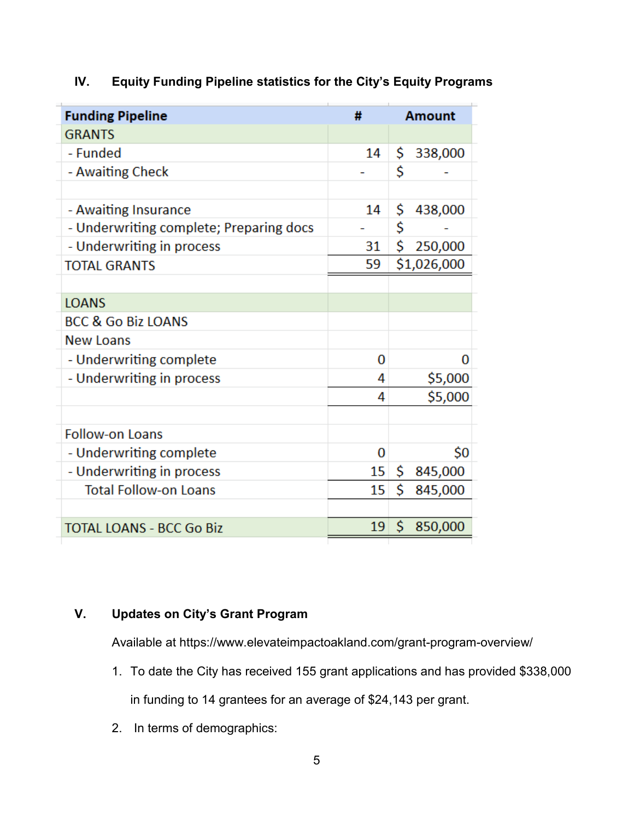| <b>Funding Pipeline</b>                 | #  | <b>Amount</b>  |
|-----------------------------------------|----|----------------|
| <b>GRANTS</b>                           |    |                |
| - Funded                                | 14 | \$<br>338,000  |
| - Awaiting Check                        |    | \$             |
|                                         |    |                |
| - Awaiting Insurance                    | 14 | \$<br>438,000  |
| - Underwriting complete; Preparing docs |    | \$             |
| - Underwriting in process               | 31 | \$<br>250,000  |
| <b>TOTAL GRANTS</b>                     | 59 | \$1,026,000    |
|                                         |    |                |
| <b>LOANS</b>                            |    |                |
| <b>BCC &amp; Go Biz LOANS</b>           |    |                |
| <b>New Loans</b>                        |    |                |
| - Underwriting complete                 | 0  | 0              |
| - Underwriting in process               | 4  | \$5,000        |
|                                         | 4  | \$5,000        |
|                                         |    |                |
| <b>Follow-on Loans</b>                  |    |                |
| - Underwriting complete                 | 0  | \$0            |
| - Underwriting in process               | 15 | \$.<br>845,000 |
| <b>Total Follow-on Loans</b>            | 15 | \$<br>845,000  |
|                                         |    |                |
| <b>TOTAL LOANS - BCC Go Biz</b>         | 19 | \$<br>850,000  |
|                                         |    |                |

# **IV. Equity Funding Pipeline statistics for the City's Equity Programs**

## **V. Updates on City's Grant Program**

Available at https://www.elevateimpactoakland.com/grant-program-overview/

- 1. To date the City has received 155 grant applications and has provided \$338,000 in funding to 14 grantees for an average of \$24,143 per grant.
- 2. In terms of demographics: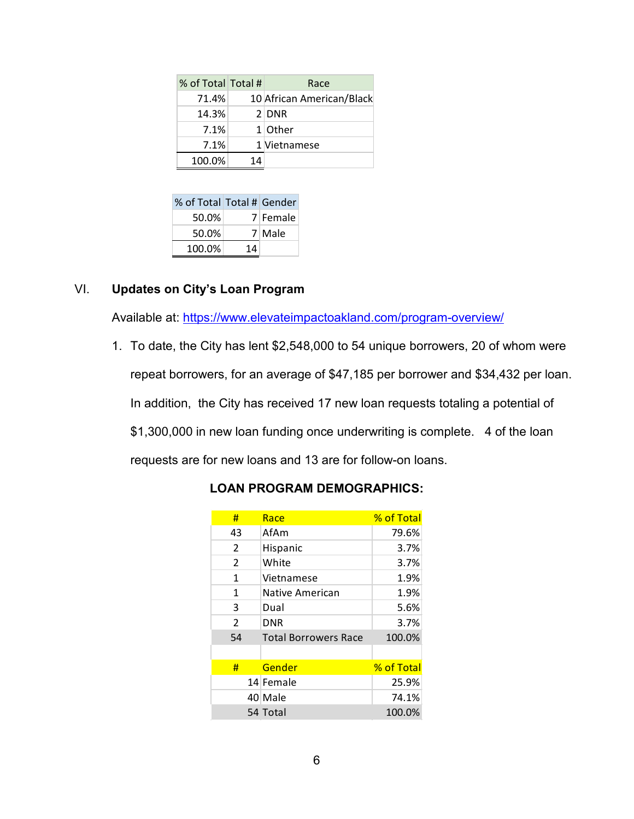| % of Total Total # |    | Race                      |
|--------------------|----|---------------------------|
| 71.4%              |    | 10 African American/Black |
| 14.3%              |    | $2$ DNR                   |
| 7.1%               |    | $1$ Other                 |
| 7.1%               |    | 1 Vietnamese              |
| 100.0%             | 14 |                           |

| % of Total Total # Gender |    |          |
|---------------------------|----|----------|
| 50.0%                     |    | 7 Female |
| 50.0%                     |    | 7 Male   |
| 100.0%                    | 14 |          |

### VI. **Updates on City's Loan Program**

Available at:<https://www.elevateimpactoakland.com/program-overview/>

1. To date, the City has lent \$2,548,000 to 54 unique borrowers, 20 of whom were repeat borrowers, for an average of \$47,185 per borrower and \$34,432 per loan. In addition, the City has received 17 new loan requests totaling a potential of \$1,300,000 in new loan funding once underwriting is complete. 4 of the loan requests are for new loans and 13 are for follow-on loans.

| #              | Race                        | % of Total |
|----------------|-----------------------------|------------|
| 43             | AfAm                        | 79.6%      |
| $\overline{2}$ | Hispanic                    | 3.7%       |
| 2              | White                       | 3.7%       |
| 1              | Vietnamese                  | 1.9%       |
| 1              | Native American             | 1.9%       |
| 3              | Dual                        | 5.6%       |
| $\mathcal{P}$  | <b>DNR</b>                  | 3.7%       |
| 54             | <b>Total Borrowers Race</b> | 100.0%     |
|                |                             |            |
| #              | Gender                      | % of Total |
|                | 14 Female                   | 25.9%      |
|                | 40 Male                     | 74.1%      |
|                | 54 Total                    | 100.0%     |

### **LOAN PROGRAM DEMOGRAPHICS:**